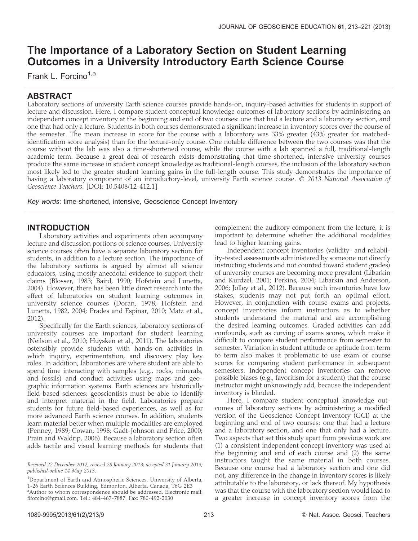# The Importance of a Laboratory Section on Student Learning Outcomes in a University Introductory Earth Science Course

Frank L. Forcino<sup>1,a</sup>

# ABSTRACT

Laboratory sections of university Earth science courses provide hands-on, inquiry-based activities for students in support of lecture and discussion. Here, I compare student conceptual knowledge outcomes of laboratory sections by administering an independent concept inventory at the beginning and end of two courses: one that had a lecture and a laboratory section, and one that had only a lecture. Students in both courses demonstrated a significant increase in inventory scores over the course of the semester. The mean increase in score for the course with a laboratory was 33% greater (43% greater for matchedidentification score analysis) than for the lecture-only course. One notable difference between the two courses was that the course without the lab was also a time-shortened course, while the course with a lab spanned a full, traditional-length academic term. Because a great deal of research exists demonstrating that time-shortened, intensive university courses produce the same increase in student concept knowledge as traditional-length courses, the inclusion of the laboratory section most likely led to the greater student learning gains in the full-length course. This study demonstrates the importance of having a laboratory component of an introductory-level, university Earth science course. © 2013 National Association of Geoscience Teachers. [DOI: 10.5408/12-412.1]

Key words: time-shortened, intensive, Geoscience Concept Inventory

# INTRODUCTION

Laboratory activities and experiments often accompany lecture and discussion portions of science courses. University science courses often have a separate laboratory section for students, in addition to a lecture section. The importance of the laboratory sections is argued by almost all science educators, using mostly anecdotal evidence to support their claims (Blosser, 1983; Baird, 1990; Hofstein and Lunetta, 2004). However, there has been little direct research into the effect of laboratories on student learning outcomes in university science courses (Doran, 1978; Hofstein and Lunetta, 1982, 2004; Prades and Espinar, 2010; Matz et al., 2012).

Specifically for the Earth sciences, laboratory sections of university courses are important for student learning (Neilson et al., 2010; Huysken et al., 2011). The laboratories ostensibly provide students with hands-on activities in which inquiry, experimentation, and discovery play key roles. In addition, laboratories are where student are able to spend time interacting with samples (e.g., rocks, minerals, and fossils) and conduct activities using maps and geographic information systems. Earth sciences are historically field-based sciences; geoscientists must be able to identify and interpret material in the field. Laboratories prepare students for future field-based experiences, as well as for more advanced Earth science courses. In addition, students learn material better when multiple modalities are employed (Penney, 1989; Cowan, 1998; Gadt-Johnson and Price, 2000; Prain and Waldrip, 2006). Because a laboratory section often adds tactile and visual learning methods for students that

complement the auditory component from the lecture, it is important to determine whether the additional modalities lead to higher learning gains.

Independent concept inventories (validity- and reliability-tested assessments administered by someone not directly instructing students and not counted toward student grades) of university courses are becoming more prevalent (Libarkin and Kurdzel, 2001; Perkins, 2004; Libarkin and Anderson, 2006; Jolley et al., 2012). Because such inventories have low stakes, students may not put forth an optimal effort. However, in conjunction with course exams and projects, concept inventories inform instructors as to whether students understand the material and are accomplishing the desired learning outcomes. Graded activities can add confounds, such as curving of exams scores, which make it difficult to compare student performance from semester to semester. Variation in student attitude or aptitude from term to term also makes it problematic to use exam or course scores for comparing student performance in subsequent semesters. Independent concept inventories can remove possible biases (e.g., favoritism for a student) that the course instructor might unknowingly add, because the independent inventory is blinded.

Here, I compare student conceptual knowledge outcomes of laboratory sections by administering a modified version of the Geoscience Concept Inventory (GCI) at the beginning and end of two courses: one that had a lecture and a laboratory section, and one that only had a lecture. Two aspects that set this study apart from previous work are (1) a consistent independent concept inventory was used at the beginning and end of each course and (2) the same instructors taught the same material in both courses. Because one course had a laboratory section and one did not, any difference in the change in inventory scores is likely attributable to the laboratory, or lack thereof. My hypothesis was that the course with the laboratory section would lead to a greater increase in concept inventory scores from the

Received 22 December 2012; revised 28 January 2013; accepted 31 January 2013; published online 14 May 2013.

<sup>&</sup>lt;sup>1</sup>Department of Earth and Atmospheric Sciences, University of Alberta, 1-26 Earth Sciences Building, Edmonton, Alberta, Canada, T6G 2E3 <sup>a</sup> Author to whom correspondence should be addressed. Electronic mail: flforcino@gmail.com. Tel.: 484-467-7887. Fax: 780-492-2030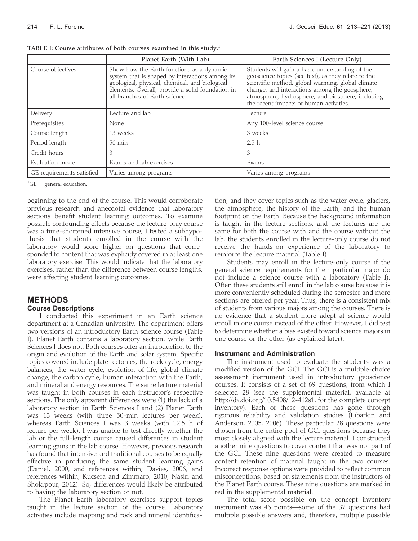|                           | Planet Earth (With Lab)                                                                                                                                                                                                              | Earth Sciences I (Lecture Only)                                                                                                                                                                                                                                                                              |
|---------------------------|--------------------------------------------------------------------------------------------------------------------------------------------------------------------------------------------------------------------------------------|--------------------------------------------------------------------------------------------------------------------------------------------------------------------------------------------------------------------------------------------------------------------------------------------------------------|
| Course objectives         | Show how the Earth functions as a dynamic<br>system that is shaped by interactions among its<br>geological, physical, chemical, and biological<br>elements. Overall, provide a solid foundation in<br>all branches of Earth science. | Students will gain a basic understanding of the<br>geoscience topics (see text), as they relate to the<br>scientific method, global warming, global climate<br>change, and interactions among the geosphere,<br>atmosphere, hydrosphere, and biosphere, including<br>the recent impacts of human activities. |
| Delivery                  | Lecture and lab                                                                                                                                                                                                                      | Lecture                                                                                                                                                                                                                                                                                                      |
| Prerequisites             | None.                                                                                                                                                                                                                                | Any 100-level science course                                                                                                                                                                                                                                                                                 |
| Course length             | 13 weeks                                                                                                                                                                                                                             | 3 weeks                                                                                                                                                                                                                                                                                                      |
| Period length             | $50 \text{ min}$                                                                                                                                                                                                                     | 2.5 <sub>h</sub>                                                                                                                                                                                                                                                                                             |
| Credit hours              | 3                                                                                                                                                                                                                                    | 3                                                                                                                                                                                                                                                                                                            |
| Evaluation mode           | Exams and lab exercises                                                                                                                                                                                                              | Exams                                                                                                                                                                                                                                                                                                        |
| GE requirements satisfied | Varies among programs                                                                                                                                                                                                                | Varies among programs                                                                                                                                                                                                                                                                                        |

TABLE I: Course attributes of both courses examined in this study.<sup>1</sup>

 ${}^{1}$ GE = general education.

beginning to the end of the course. This would corroborate previous research and anecdotal evidence that laboratory sections benefit student learning outcomes. To examine possible confounding effects because the lecture-only course was a time-shortened intensive course, I tested a subhypothesis that students enrolled in the course with the laboratory would score higher on questions that corresponded to content that was explicitly covered in at least one laboratory exercise. This would indicate that the laboratory exercises, rather than the difference between course lengths, were affecting student learning outcomes.

## METHODS Course Descriptions

I conducted this experiment in an Earth science department at a Canadian university. The department offers two versions of an introductory Earth science course (Table I). Planet Earth contains a laboratory section, while Earth Sciences I does not. Both courses offer an introduction to the origin and evolution of the Earth and solar system. Specific topics covered include plate tectonics, the rock cycle, energy balances, the water cycle, evolution of life, global climate change, the carbon cycle, human interaction with the Earth, and mineral and energy resources. The same lecture material was taught in both courses in each instructor's respective sections. The only apparent differences were (1) the lack of a laboratory section in Earth Sciences I and (2) Planet Earth was 13 weeks (with three 50-min lectures per week), whereas Earth Sciences I was 3 weeks (with 12.5 h of lecture per week). I was unable to test directly whether the lab or the full-length course caused differences in student learning gains in the lab course. However, previous research has found that intensive and traditional courses to be equally effective in producing the same student learning gains (Daniel, 2000, and references within; Davies, 2006, and references within; Kucsera and Zimmaro, 2010; Nasiri and Shokrpour, 2012). So, differences would likely be attributed to having the laboratory section or not.

The Planet Earth laboratory exercises support topics taught in the lecture section of the course. Laboratory activities include mapping and rock and mineral identification, and they cover topics such as the water cycle, glaciers, the atmosphere, the history of the Earth, and the human footprint on the Earth. Because the background information is taught in the lecture sections, and the lectures are the same for both the course with and the course without the lab, the students enrolled in the lecture-only course do not receive the hands-on experience of the laboratory to reinforce the lecture material (Table I).

Students may enroll in the lecture-only course if the general science requirements for their particular major do not include a science course with a laboratory (Table I). Often these students still enroll in the lab course because it is more conveniently scheduled during the semester and more sections are offered per year. Thus, there is a consistent mix of students from various majors among the courses. There is no evidence that a student more adept at science would enroll in one course instead of the other. However, I did test to determine whether a bias existed toward science majors in one course or the other (as explained later).

### Instrument and Administration

The instrument used to evaluate the students was a modified version of the GCI. The GCI is a multiple-choice assessment instrument used in introductory geoscience courses. It consists of a set of 69 questions, from which I selected 28 (see the supplemental material, available at http://dx.doi.org/10.5408/12-412s1, for the complete concept inventory). Each of these questions has gone through rigorous reliability and validation studies (Libarkin and Anderson, 2005, 2006). These particular 28 questions were chosen from the entire pool of GCI questions because they most closely aligned with the lecture material. I constructed another nine questions to cover content that was not part of the GCI. These nine questions were created to measure content retention of material taught in the two courses. Incorrect response options were provided to reflect common misconceptions, based on statements from the instructors of the Planet Earth course. These nine questions are marked in red in the supplemental material.

The total score possible on the concept inventory instrument was 46 points—some of the 37 questions had multiple possible answers and, therefore, multiple possible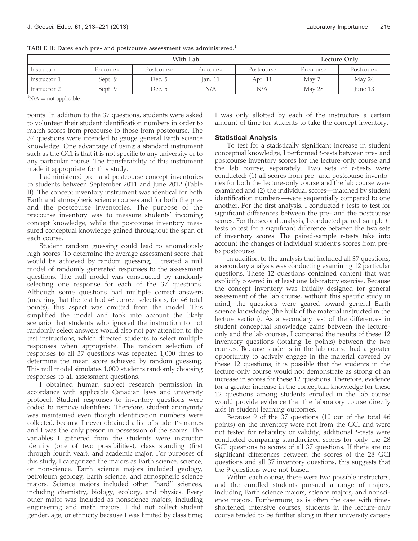|              | With Lab  |            |           | Lecture Only |           |            |
|--------------|-----------|------------|-----------|--------------|-----------|------------|
| Instructor   | Precourse | Postcourse | Precourse | Postcourse   | Precourse | Postcourse |
| Instructor 1 | Sept. 9   | Dec. 5     | Jan. 11   | Apr. 11      | May 7     | May 24     |
| Instructor 2 | Sept. 9   | Dec. 5     | N/A       | N/A          | May 28    | June 13    |

TABLE II: Dates each pre- and postcourse assessment was administered.<sup>1</sup>

 ${}^{1}N/A$  = not applicable.

points. In addition to the 37 questions, students were asked to volunteer their student identification numbers in order to match scores from precourse to those from postcourse. The 37 questions were intended to gauge general Earth science knowledge. One advantage of using a standard instrument such as the GCI is that it is not specific to any university or to any particular course. The transferability of this instrument made it appropriate for this study.

I administered pre- and postcourse concept inventories to students between September 2011 and June 2012 (Table II). The concept inventory instrument was identical for both Earth and atmospheric science courses and for both the preand the postcourse inventories. The purpose of the precourse inventory was to measure students' incoming concept knowledge, while the postcourse inventory measured conceptual knowledge gained throughout the span of each course.

Student random guessing could lead to anomalously high scores. To determine the average assessment score that would be achieved by random guessing, I created a null model of randomly generated responses to the assessment questions. The null model was constructed by randomly selecting one response for each of the 37 questions. Although some questions had multiple correct answers (meaning that the test had 46 correct selections, for 46 total points), this aspect was omitted from the model. This simplified the model and took into account the likely scenario that students who ignored the instruction to not randomly select answers would also not pay attention to the test instructions, which directed students to select multiple responses when appropriate. The random selection of responses to all 37 questions was repeated 1,000 times to determine the mean score achieved by random guessing. This null model simulates 1,000 students randomly choosing responses to all assessment questions.

I obtained human subject research permission in accordance with applicable Canadian laws and university protocol. Student responses to inventory questions were coded to remove identifiers. Therefore, student anonymity was maintained even though identification numbers were collected, because I never obtained a list of student's names and I was the only person in possession of the scores. The variables I gathered from the students were instructor identity (one of two possibilities), class standing (first through fourth year), and academic major. For purposes of this study, I categorized the majors as Earth science, science, or nonscience. Earth science majors included geology, petroleum geology, Earth science, and atmospheric science majors. Science majors included other ''hard'' sciences, including chemistry, biology, ecology, and physics. Every other major was included as nonscience majors, including engineering and math majors. I did not collect student gender, age, or ethnicity because I was limited by class time;

I was only allotted by each of the instructors a certain amount of time for students to take the concept inventory.

#### Statistical Analysis

To test for a statistically significant increase in student conceptual knowledge, I performed t-tests between pre- and postcourse inventory scores for the lecture-only course and the lab course, separately. Two sets of  $t$ -tests were conducted: (1) all scores from pre- and postcourse inventories for both the lecture-only course and the lab course were examined and (2) the individual scores—matched by student identification numbers—were sequentially compared to one another. For the first analysis, I conducted  $t$ -tests to test for significant differences between the pre- and the postcourse scores. For the second analysis, I conducted paired-sample ttests to test for a significant difference between the two sets of inventory scores. The paired-sample  $t$ -tests take into account the changes of individual student's scores from preto postcourse.

In addition to the analysis that included all 37 questions, a secondary analysis was conducting examining 12 particular questions. These 12 questions contained content that was explicitly covered in at least one laboratory exercise. Because the concept inventory was initially designed for general assessment of the lab course, without this specific study in mind, the questions were geared toward general Earth science knowledge (the bulk of the material instructed in the lecture section). As a secondary test of the differences in student conceptual knowledge gains between the lectureonly and the lab courses, I compared the results of these 12 inventory questions (totaling 16 points) between the two courses. Because students in the lab course had a greater opportunity to actively engage in the material covered by these 12 questions, it is possible that the students in the lecture-only course would not demonstrate as strong of an increase in scores for these 12 questions. Therefore, evidence for a greater increase in the conceptual knowledge for these 12 questions among students enrolled in the lab course would provide evidence that the laboratory course directly aids in student learning outcomes.

Because 9 of the 37 questions (10 out of the total 46 points) on the inventory were not from the GCI and were not tested for reliability or validity, additional t-tests were conducted comparing standardized scores for only the 28 GCI questions to scores of all 37 questions. If there are no significant differences between the scores of the 28 GCI questions and all 37 inventory questions, this suggests that the 9 questions were not biased.

Within each course, there were two possible instructors, and the enrolled students pursued a range of majors, including Earth science majors, science majors, and nonscience majors. Furthermore, as is often the case with timeshortened, intensive courses, students in the lecture-only course tended to be further along in their university careers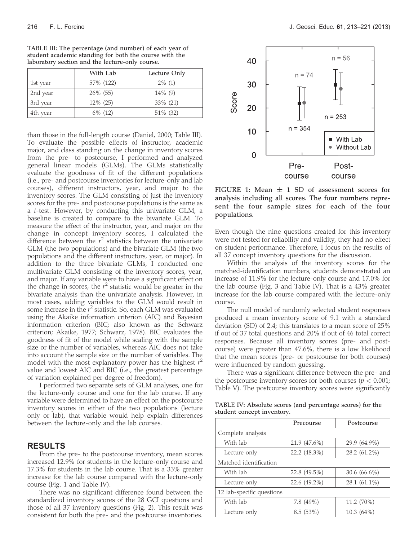|          | With Lab    | Lecture Only |  |  |
|----------|-------------|--------------|--|--|
| 1st year | 57% (122)   | $2\%$ (1)    |  |  |
| 2nd year | 26% (55)    | $14\%$ (9)   |  |  |
| 3rd year | $12\%$ (25) | 33% (21)     |  |  |
| 4th year | $6\%$ (12)  | 51% (32)     |  |  |

TABLE III: The percentage (and number) of each year of student academic standing for both the course with the laboratory section and the lecture-only course.

than those in the full-length course (Daniel, 2000; Table III). To evaluate the possible effects of instructor, academic major, and class standing on the change in inventory scores from the pre- to postcourse, I performed and analyzed general linear models (GLMs). The GLMs statistically evaluate the goodness of fit of the different populations (i.e., pre- and postcourse inventories for lecture-only and lab courses), different instructors, year, and major to the inventory scores. The GLM consisting of just the inventory scores for the pre- and postcourse populations is the same as a t-test. However, by conducting this univariate GLM, a baseline is created to compare to the bivariate GLM. To measure the effect of the instructor, year, and major on the change in concept inventory scores, I calculated the difference between the  $r^2$  statistics between the univariate GLM (the two populations) and the bivariate GLM (the two populations and the different instructors, year, or major). In addition to the three bivariate GLMs, I conducted one multivariate GLM consisting of the inventory scores, year, and major. If any variable were to have a significant effect on the change in scores, the  $r^2$  statistic would be greater in the bivariate analysis than the univariate analysis. However, in most cases, adding variables to the GLM would result in some increase in the  $r^2$  statistic. So, each GLM was evaluated using the Akaike information criterion (AIC) and Bayesian information criterion (BIC; also known as the Schwarz criterion; Akaike, 1977; Schwarz, 1978). BIC evaluates the goodness of fit of the model while scaling with the sample size or the number of variables, whereas AIC does not take into account the sample size or the number of variables. The model with the most explanatory power has the highest  $r^2$ value and lowest AIC and BIC (i.e., the greatest percentage of variation explained per degree of freedom).

I performed two separate sets of GLM analyses, one for the lecture-only course and one for the lab course. If any variable were determined to have an effect on the postcourse inventory scores in either of the two populations (lecture only or lab), that variable would help explain differences between the lecture-only and the lab courses.

#### RESULTS

From the pre- to the postcourse inventory, mean scores increased 12.9% for students in the lecture-only course and 17.3% for students in the lab course. That is a 33% greater increase for the lab course compared with the lecture-only course (Fig. 1 and Table IV).

There was no significant difference found between the standardized inventory scores of the 28 GCI questions and those of all 37 inventory questions (Fig. 2). This result was consistent for both the pre- and the postcourse inventories.



FIGURE 1: Mean  $\pm$  1 SD of assessment scores for analysis including all scores. The four numbers represent the four sample sizes for each of the four populations.

Even though the nine questions created for this inventory were not tested for reliability and validity, they had no effect on student performance. Therefore, I focus on the results of all 37 concept inventory questions for the discussion.

Within the analysis of the inventory scores for the matched-identification numbers, students demonstrated an increase of 11.9% for the lecture-only course and 17.0% for the lab course (Fig. 3 and Table IV). That is a 43% greater increase for the lab course compared with the lecture-only course.

The null model of randomly selected student responses produced a mean inventory score of 9.1 with a standard deviation (SD) of 2.4; this translates to a mean score of 25% if out of 37 total questions and 20% if out of 46 total correct responses. Because all inventory scores (pre- and postcourse) were greater than 47.6%, there is a low likelihood that the mean scores (pre- or postcourse for both courses) were influenced by random guessing.

There was a significant difference between the pre- and the postcourse inventory scores for both courses ( $p < 0.001$ ; Table V). The postcourse inventory scores were significantly

TABLE IV: Absolute scores (and percentage scores) for the student concept inventory.

|                           | Precourse    | Postcourse     |  |
|---------------------------|--------------|----------------|--|
| Complete analysis         |              |                |  |
| With lab                  | 21.9 (47.6%) | 29.9 (64.9%)   |  |
| Lecture only              | 22.2 (48.3%) | 28.2 (61.2%)   |  |
| Matched identification    |              |                |  |
| With lab                  | 22.8 (49.5%) | $30.6(66.6\%)$ |  |
| Lecture only              | 22.6 (49.2%) | 28.1 (61.1%)   |  |
| 12 lab-specific questions |              |                |  |
| With lab                  | 7.8 (49%)    | 11.2 (70%)     |  |
| Lecture only              | 8.5(53%)     | $10.3(64\%)$   |  |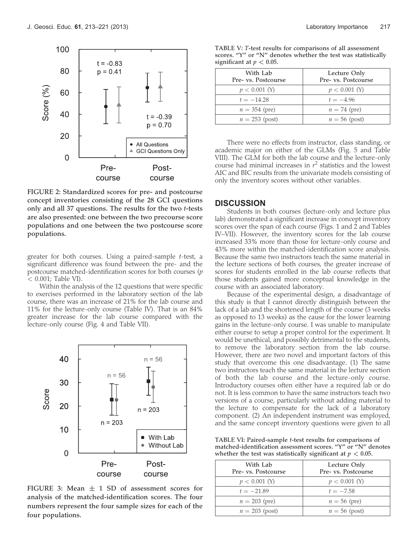

FIGURE 2: Standardized scores for pre- and postcourse concept inventories consisting of the 28 GCI questions only and all 37 questions. The results for the two t-tests are also presented: one between the two precourse score populations and one between the two postcourse score populations.

greater for both courses. Using a paired-sample t-test, a significant difference was found between the pre- and the postcourse matched-identification scores for both courses (p  $< 0.001$ ; Table VI).

Within the analysis of the 12 questions that were specific to exercises performed in the laboratory section of the lab course, there was an increase of 21% for the lab course and 11% for the lecture-only course (Table IV). That is an 84% greater increase for the lab course compared with the lecture-only course (Fig. 4 and Table VII).



FIGURE 3: Mean  $\pm$  1 SD of assessment scores for analysis of the matched-identification scores. The four numbers represent the four sample sizes for each of the four populations.

| With Lab<br>Pre- vs. Postcourse | Lecture Only<br>Pre- vs. Postcourse |  |  |
|---------------------------------|-------------------------------------|--|--|
| $p < 0.001$ (Y)                 | $p < 0.001$ (Y)                     |  |  |
| $t = -14.28$                    | $t = -4.96$                         |  |  |
| $n = 354$ (pre)                 | $n = 74$ (pre)                      |  |  |
| $n = 253$ (post)                | $n = 56$ (post)                     |  |  |

TABLE V: T-test results for comparisons of all assessment scores. ''Y'' or ''N'' denotes whether the test was statistically significant at  $p < 0.05$ .

There were no effects from instructor, class standing, or academic major on either of the GLMs (Fig. 5 and Table VIII). The GLM for both the lab course and the lecture-only course had minimal increases in  $r^2$  statistics and the lowest AIC and BIC results from the univariate models consisting of only the inventory scores without other variables.

#### **DISCUSSION**

Students in both courses (lecture-only and lecture plus lab) demonstrated a significant increase in concept inventory scores over the span of each course (Figs. 1 and 2 and Tables IV–VII). However, the inventory scores for the lab course increased 33% more than those for lecture-only course and 43% more within the matched-identification score analysis. Because the same two instructors teach the same material in the lecture sections of both courses, the greater increase of scores for students enrolled in the lab course reflects that those students gained more conceptual knowledge in the course with an associated laboratory.

Because of the experimental design, a disadvantage of this study is that I cannot directly distinguish between the lack of a lab and the shortened length of the course (3 weeks as opposed to 13 weeks) as the cause for the lower learning gains in the lecture-only course. I was unable to manipulate either course to setup a proper control for the experiment. It would be unethical, and possibly detrimental to the students, to remove the laboratory section from the lab course. However, there are two novel and important factors of this study that overcome this one disadvantage. (1) The same two instructors teach the same material in the lecture section of both the lab course and the lecture-only course. Introductory courses often either have a required lab or do not. It is less common to have the same instructors teach two versions of a course, particularly without adding material to the lecture to compensate for the lack of a laboratory component. (2) An independent instrument was employed, and the same concept inventory questions were given to all

TABLE VI: Paired-sample t-test results for comparisons of matched-identification assessment scores. ''Y'' or ''N'' denotes whether the test was statistically significant at  $p < 0.05$ .

| With Lab<br>Pre- vs. Postcourse | Lecture Only<br>Pre- vs. Postcourse |  |  |
|---------------------------------|-------------------------------------|--|--|
| $p < 0.001$ (Y)                 | $p < 0.001$ (Y)                     |  |  |
| $t = -21.89$                    | $t = -7.58$                         |  |  |
| $n = 203$ (pre)                 | $n = 56$ (pre)                      |  |  |
| $n = 203$ (post)                | $n = 56$ (post)                     |  |  |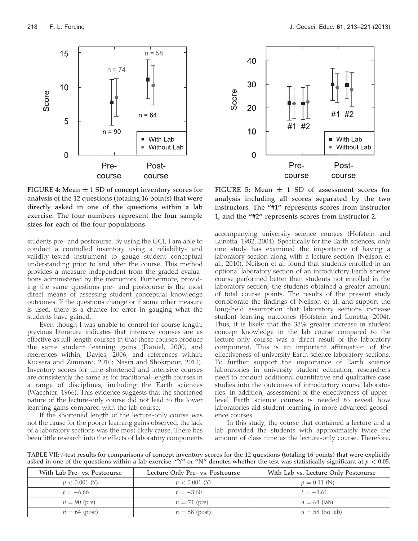

FIGURE 4: Mean  $\pm$  1 SD of concept inventory scores for analysis of the 12 questions (totaling 16 points) that were directly asked in one of the questions within a lab exercise. The four numbers represent the four sample sizes for each of the four populations.

students pre- and postcourse. By using the GCI, I am able to conduct a controlled inventory using a reliability- and validity-tested instrument to gauge student conceptual understanding prior to and after the course. This method provides a measure independent from the graded evaluations administered by the instructors. Furthermore, providing the same questions pre- and postcourse is the most direct means of assessing student conceptual knowledge outcomes. If the questions change or if some other measure is used, there is a chance for error in gauging what the students have gained.

Even though I was unable to control for course length, previous literature indicates that intensive courses are as effective as full-length courses in that these courses produce the same student learning gains (Daniel, 2000, and references within; Davies, 2006, and references within; Kucsera and Zimmaro, 2010; Nasiri and Shokrpour, 2012). Inventory scores for time-shortened and intensive courses are consistently the same as for traditional-length courses in a range of disciplines, including the Earth sciences (Waechter, 1966). This evidence suggests that the shortened nature of the lecture-only course did not lead to the lower learning gains compared with the lab course.

If the shortened length of the lecture-only course was not the cause for the poorer learning gains observed, the lack of a laboratory sections was the most likely cause. There has been little research into the effects of laboratory components



FIGURE 5: Mean  $\pm$  1 SD of assessment scores for analysis including all scores separated by the two instructors. The ''#1'' represents scores from instructor 1, and the ''#2'' represents scores from instructor 2.

accompanying university science courses (Hofstein and Lunetta, 1982, 2004). Specifically for the Earth sciences, only one study has examined the importance of having a laboratory section along with a lecture section (Neilson et al., 2010). Neilson et al. found that students enrolled in an optional laboratory section of an introductory Earth science course performed better than students not enrolled in the laboratory section; the students obtained a greater amount of total course points. The results of the present study corroborate the findings of Neilson et al. and support the long-held assumption that laboratory sections increase student learning outcomes (Hofstein and Lunetta, 2004). Thus, it is likely that the 33% greater increase in student concept knowledge in the lab course compared to the lecture-only course was a direct result of the laboratory component. This is an important affirmation of the effectiveness of university Earth science laboratory sections. To further support the importance of Earth science laboratories in university student education, researchers need to conduct additional quantitative and qualitative case studies into the outcomes of introductory course laboratories. In addition, assessment of the effectiveness of upperlevel Earth science courses is needed to reveal how laboratories aid student learning in more advanced geoscience courses.

In this study, the course that contained a lecture and a lab provided the students with approximately twice the amount of class time as the lecture-only course. Therefore,

TABLE VII: t-test results for comparisons of concept inventory scores for the 12 questions (totaling 16 points) that were explicitly asked in one of the questions within a lab exercise. "Y" or "N" denotes whether the test was statistically significant at  $p < 0.05$ .

| With Lab Pre- vs. Postcourse | Lecture Only Pre- vs. Postcourse | With Lab vs. Lecture Only Postcourse |
|------------------------------|----------------------------------|--------------------------------------|
| $p < 0.001$ (Y)              | $p < 0.001$ (Y)                  | $p = 0.11$ (N)                       |
| $t = -6.66$                  | $t = -3.60$                      | $t = -1.61$                          |
| $n = 90$ (pre)               | $n = 74$ (pre)                   | $n = 64$ (lab)                       |
| $n = 64$ (post)              | $n = 58$ (post)                  | $n = 58$ (no lab)                    |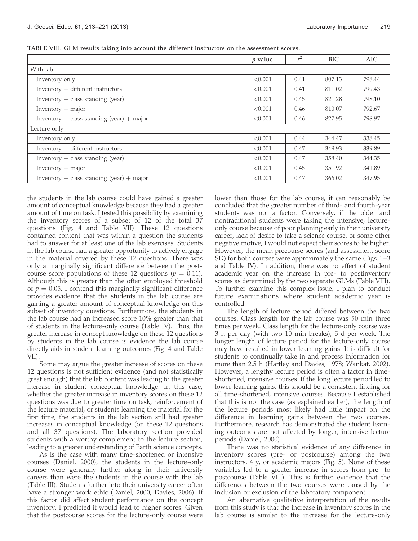| TABLE VIII: GLM results taking into account the different instructors on the assessment scores. |  |
|-------------------------------------------------------------------------------------------------|--|
|-------------------------------------------------------------------------------------------------|--|

|                                               | $p$ value |      | <b>BIC</b> | AIC    |
|-----------------------------------------------|-----------|------|------------|--------|
| With lab                                      |           |      |            |        |
| Inventory only                                | < 0.001   | 0.41 | 807.13     | 798.44 |
| Inventory $+$ different instructors           | < 0.001   | 0.41 | 811.02     | 799.43 |
| Inventory $+$ class standing (year)           | < 0.001   | 0.45 | 821.28     | 798.10 |
| Inventory $+$ major                           | < 0.001   | 0.46 | 810.07     | 792.67 |
| Inventory $+$ class standing (year) $+$ major | < 0.001   | 0.46 | 827.95     | 798.97 |
| Lecture only                                  |           |      |            |        |
| Inventory only                                | < 0.001   | 0.44 | 344.47     | 338.45 |
| Inventory $+$ different instructors           | < 0.001   | 0.47 | 349.93     | 339.89 |
| Inventory $+$ class standing (year)           | < 0.001   | 0.47 | 358.40     | 344.35 |
| Inventory $+$ major                           | < 0.001   | 0.45 | 351.92     | 341.89 |
| Inventory + class standing (year) + major     | < 0.001   | 0.47 | 366.02     | 347.95 |

the students in the lab course could have gained a greater amount of conceptual knowledge because they had a greater amount of time on task. I tested this possibility by examining the inventory scores of a subset of 12 of the total 37 questions (Fig. 4 and Table VII). These 12 questions contained content that was within a question the students had to answer for at least one of the lab exercises. Students in the lab course had a greater opportunity to actively engage in the material covered by these 12 questions. There was only a marginally significant difference between the postcourse score populations of these 12 questions ( $p = 0.11$ ). Although this is greater than the often employed threshold of  $p = 0.05$ , I contend this marginally significant difference provides evidence that the students in the lab course are gaining a greater amount of conceptual knowledge on this subset of inventory questions. Furthermore, the students in the lab course had an increased score 10% greater than that of students in the lecture-only course (Table IV). Thus, the greater increase in concept knowledge on these 12 questions by students in the lab course is evidence the lab course directly aids in student learning outcomes (Fig. 4 and Table VII)

Some may argue the greater increase of scores on these 12 questions is not sufficient evidence (and not statistically great enough) that the lab content was leading to the greater increase in student conceptual knowledge. In this case, whether the greater increase in inventory scores on these 12 questions was due to greater time on task, reinforcement of the lecture material, or students learning the material for the first time, the students in the lab section still had greater increases in conceptual knowledge (on these 12 questions and all 37 questions). The laboratory section provided students with a worthy complement to the lecture section, leading to a greater understanding of Earth science concepts.

As is the case with many time-shortened or intensive courses (Daniel, 2000), the students in the lecture-only course were generally further along in their university careers than were the students in the course with the lab (Table III). Students further into their university career often have a stronger work ethic (Daniel, 2000; Davies, 2006). If this factor did affect student performance on the concept inventory, I predicted it would lead to higher scores. Given that the postcourse scores for the lecture-only course were

lower than those for the lab course, it can reasonably be concluded that the greater number of third- and fourth-year students was not a factor. Conversely, if the older and nontraditional students were taking the intensive, lectureonly course because of poor planning early in their university career, lack of desire to take a science course, or some other negative motive, I would not expect their scores to be higher. However, the mean precourse scores (and assessment score SD) for both courses were approximately the same (Figs. 1–3 and Table IV). In addition, there was no effect of student academic year on the increase in pre- to postinventory scores as determined by the two separate GLMs (Table VIII). To further examine this complex issue, I plan to conduct future examinations where student academic year is controlled.

The length of lecture period differed between the two courses. Class length for the lab course was 50 min three times per week. Class length for the lecture-only course was 3 h per day (with two 10-min breaks), 5 d per week. The longer length of lecture period for the lecture-only course may have resulted in lower learning gains. It is difficult for students to continually take in and process information for more than 2.5 h (Hartley and Davies, 1978; Wankat, 2002). However, a lengthy lecture period is often a factor in timeshortened, intensive courses. If the long lecture period led to lower learning gains, this should be a consistent finding for all time-shortened, intensive courses. Because I established that this is not the case (as explained earlier), the length of the lecture periods most likely had little impact on the difference in learning gains between the two courses. Furthermore, research has demonstrated the student learning outcomes are not affected by longer, intensive lecture periods (Daniel, 2000).

There was no statistical evidence of any difference in inventory scores (pre- or postcourse) among the two instructors, 4 y, or academic majors (Fig. 5). None of these variables led to a greater increase in scores from pre- to postcourse (Table VIII). This is further evidence that the differences between the two courses were caused by the inclusion or exclusion of the laboratory component.

An alternative qualitative interpretation of the results from this study is that the increase in inventory scores in the lab course is similar to the increase for the lecture-only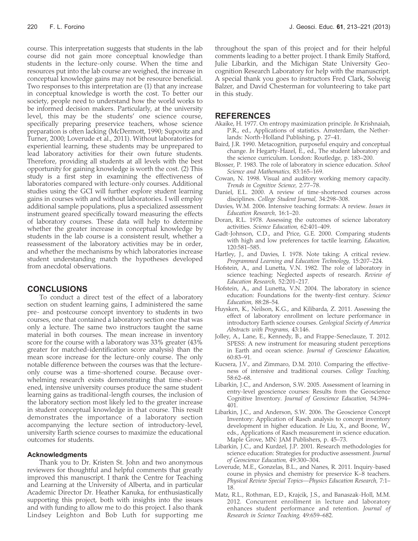course. This interpretation suggests that students in the lab course did not gain more conceptual knowledge than students in the lecture-only course. When the time and resources put into the lab course are weighed, the increase in conceptual knowledge gains may not be resource beneficial. Two responses to this interpretation are (1) that any increase in conceptual knowledge is worth the cost. To better our society, people need to understand how the world works to be informed decision makers. Particularly, at the university level, this may be the students' one science course, specifically preparing preservice teachers, whose science preparation is often lacking (McDermott, 1990; Supovitz and Turner, 2000; Loverude et al., 2011). Without laboratories for experiential learning, these students may be unprepared to lead laboratory activities for their own future students. Therefore, providing all students at all levels with the best opportunity for gaining knowledge is worth the cost. (2) This study is a first step in examining the effectiveness of laboratories compared with lecture-only courses. Additional studies using the GCI will further explore student learning gains in courses with and without laboratories. I will employ additional sample populations, plus a specialized assessment instrument geared specifically toward measuring the effects of laboratory courses. These data will help to determine whether the greater increase in conceptual knowledge by students in the lab course is a consistent result, whether a reassessment of the laboratory activities may be in order,

and whether the mechanisms by which laboratories increase student understanding match the hypotheses developed from anecdotal observations.

# CONCLUSIONS

To conduct a direct test of the effect of a laboratory section on student learning gains, I administered the same pre- and postcourse concept inventory to students in two courses, one that contained a laboratory section one that was only a lecture. The same two instructors taught the same material in both courses. The mean increase in inventory score for the course with a laboratory was 33% greater (43% greater for matched-identification score analysis) than the mean score increase for the lecture-only course. The only notable difference between the courses was that the lectureonly course was a time-shortened course. Because overwhelming research exists demonstrating that time-shortened, intensive university courses produce the same student learning gains as traditional-length courses, the inclusion of the laboratory section most likely led to the greater increase in student conceptual knowledge in that course. This result demonstrates the importance of a laboratory section accompanying the lecture section of introductory-level, university Earth science courses to maximize the educational outcomes for students.

#### Acknowledgments

Thank you to Dr. Kristen St. John and two anonymous reviewers for thoughtful and helpful comments that greatly improved this manuscript. I thank the Centre for Teaching and Learning at the University of Alberta, and in particular Academic Director Dr. Heather Kanuka, for enthusiastically supporting this project, both with insights into the issues and with funding to allow me to do this project. I also thank Lindsey Leighton and Bob Luth for supporting me

throughout the span of this project and for their helpful comments leading to a better project. I thank Emily Stafford, Julie Libarkin, and the Michigan State University Geocognition Research Laboratory for help with the manuscript. A special thank you goes to instructors Fred Clark, Solweig Balzer, and David Chesterman for volunteering to take part in this study.

## REFERENCES

- Akaike, H. 1977. On entropy maximization principle. In Krishnaiah, P.R., ed., Applications of statistics. Amsterdam, the Netherlands: North-Holland Publishing, p. 27–41.
- Baird, J.R. 1990. Metacognition, purposeful enquiry and conceptual change. In Hegarty-Hazel, E., ed., The student laboratory and the science curriculum. London: Routledge, p. 183–200.
- Blosser, P. 1983. The role of laboratory in science education. School Science and Mathematics, 83:165–169.
- Cowan, N. 1998. Visual and auditory working memory capacity. Trends in Cognitive Science, 2:77–78.
- Daniel, E.L. 2000. A review of time-shortened courses across disciplines. College Student Journal, 34:298–308.
- Davies, W.M. 2006. Intensive teaching formats: A review. Issues in Education Research, 16:1–20.
- Doran, R.L. 1978. Assessing the outcomes of science laboratory activities. Science Education, 62:401–409.
- Gadt-Johnson, C.D., and Price, G.E. 2000. Comparing students with high and low preferences for tactile learning. Education, 120:581–585.
- Hartley, J., and Davies, I. 1978. Note taking: A critical review. Programmed Learning and Education Technology, 15:207–224.
- Hofstein, A., and Lunetta, V.N. 1982. The role of laboratory in science teaching: Neglected aspects of research. Review of Education Research, 52:201–217.
- Hofstein, A., and Lunetta, V.N. 2004. The laboratory in science education: Foundations for the twenty-first century. Science Education, 88:28–54.
- Huysken, K., Neilson, K.G., and Kilibarda, Z. 2011. Assessing the effect of laboratory enrollment on lecture performance in introductory Earth science courses. Geological Society of America Abstracts with Programs, 43:146.
- Jolley, A., Lane, E., Kennedy, B., and Frappe-Seneclauze, T. 2012. SPESS: A new instrument for measuring student perceptions in Earth and ocean science. Journal of Geoscience Education, 60:83–91.
- Kucsera, J.V., and Zimmaro, D.M. 2010. Comparing the effectiveness of intensive and traditional courses. College Teaching, 58:62–68.
- Libarkin, J.C., and Anderson, S.W. 2005. Assessment of learning in entry-level geoscience courses: Results from the Geoscience Cognitive Inventory. Journal of Geoscience Education, 54:394– 401.
- Libarkin, J.C., and Anderson, S.W. 2006. The Geoscience Concept Inventory: Application of Rasch analysis to concept inventory development in higher education. In Liu, X., and Boone, W., eds., Applications of Rasch measurement in science education. Maple Grove, MN: JAM Publishers, p. 45–73.
- Libarkin, J.C., and Kurdzel, J.P. 2001. Research methodologies for science education: Strategies for productive assessment. Journal of Geoscience Education, 49:300–304.
- Loverude, M.E., Gonzelas, B.L., and Nanes, R. 2011. Inquiry-based course in physics and chemistry for preservice K–8 teachers. Physical Review Special Topics—Physics Education Research, 7:1– 18.
- Matz, R.L., Rothman, E.D., Krajcik, J.S., and Banaszak-Holl, M.M. 2012. Concurrent enrollment in lecture and laboratory enhances student performance and retention. Journal of Research in Science Teaching, 49:659–682.